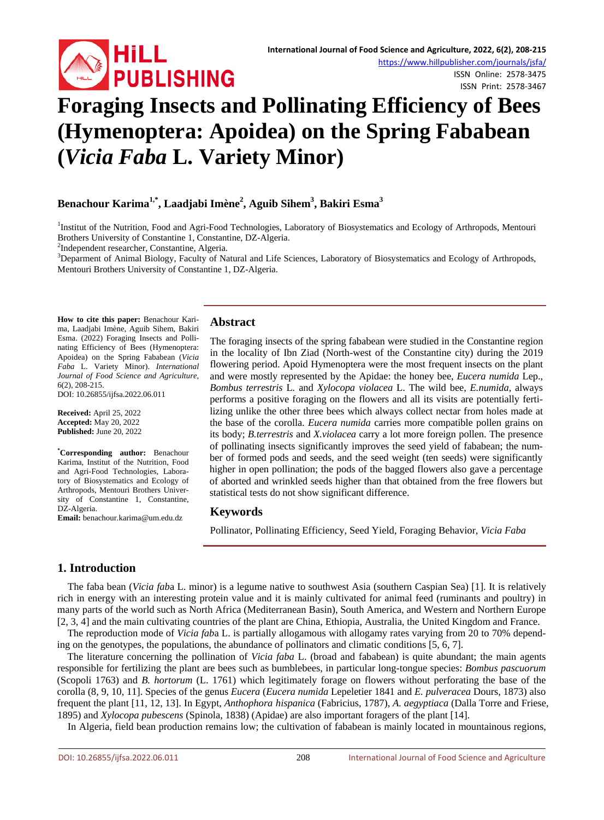

ISSN Online: 2578-3475 ISSN Print: 2578-3467

# **Foraging Insects and Pollinating Efficiency of Bees (Hymenoptera: Apoidea) on the Spring Fababean (***Vicia Faba* **L. Variety Minor)**

## **Benachour Karima1,\*, Laadjabi Imène2 , Aguib Sihem3 , Bakiri Esma<sup>3</sup>**

<sup>1</sup>Institut of the Nutrition, Food and Agri-Food Technologies, Laboratory of Biosystematics and Ecology of Arthropods, Mentouri Brothers University of Constantine 1, Constantine, DZ-Algeria. <sup>2</sup>

<sup>2</sup>Independent researcher, Constantine, Algeria.

<sup>3</sup>Deparment of Animal Biology, Faculty of Natural and Life Sciences, Laboratory of Biosystematics and Ecology of Arthropods, Mentouri Brothers University of Constantine 1, DZ-Algeria.

**How to cite this paper:** Benachour Karima, Laadjabi Imène, Aguib Sihem, Bakiri Esma. (2022) Foraging Insects and Pollinating Efficiency of Bees (Hymenoptera: Apoidea) on the Spring Fababean (*Vicia Faba* L. Variety Minor). *International Journal of Food Science and Agriculture*, 6(2), 208-215.

DOI: 10.26855/ijfsa.2022.06.011

**Received:** April 25, 2022 **Accepted:** May 20, 2022 **Published:** June 20, 2022

**\* Corresponding author:** Benachour Karima, Institut of the Nutrition, Food and Agri-Food Technologies, Laboratory of Biosystematics and Ecology of Arthropods, Mentouri Brothers University of Constantine 1, Constantine, DZ-Algeria.

**Email:** benachour.karima@um.edu.dz

#### **Abstract**

The foraging insects of the spring fababean were studied in the Constantine region in the locality of Ibn Ziad (North-west of the Constantine city) during the 2019 flowering period. Apoid Hymenoptera were the most frequent insects on the plant and were mostly represented by the Apidae: the honey bee, *Eucera numida* Lep., *Bombus terrestris* L*.* and *Xylocopa violacea* L. The wild bee, *E.numida,* always performs a positive foraging on the flowers and all its visits are potentially fertilizing unlike the other three bees which always collect nectar from holes made at the base of the corolla. *Eucera numida* carries more compatible pollen grains on its body; *B.terrestris* and *X.violacea* carry a lot more foreign pollen. The presence of pollinating insects significantly improves the seed yield of fababean; the number of formed pods and seeds, and the seed weight (ten seeds) were significantly higher in open pollination; the pods of the bagged flowers also gave a percentage of aborted and wrinkled seeds higher than that obtained from the free flowers but statistical tests do not show significant difference.

#### **Keywords**

Pollinator, Pollinating Efficiency, Seed Yield, Foraging Behavior, *Vicia Faba*

## **1. Introduction**

The faba bean (*Vicia fab*a L. minor) is a legume native to southwest Asia (southern Caspian Sea) [1]. It is relatively rich in energy with an interesting protein value and it is mainly cultivated for animal feed (ruminants and poultry) in many parts of the world such as North Africa (Mediterranean Basin), South America, and Western and Northern Europe [2, 3, 4] and the main cultivating countries of the plant are China, Ethiopia, Australia, the United Kingdom and France.

The reproduction mode of *Vicia fab*a L. is partially allogamous with allogamy rates varying from 20 to 70% depending on the genotypes, the populations, the abundance of pollinators and climatic conditions [5, 6, 7].

The literature concerning the pollination of *Vicia faba* L. (broad and fababean) is quite abundant; the main agents responsible for fertilizing the plant are bees such as bumblebees, in particular long-tongue species: *Bombus pascuorum* (Scopoli 1763) and *B. hortorum* (L. 1761) which legitimately forage on flowers without perforating the base of the corolla (8, 9, 10, 11]. Species of the genus *Eucera* (*Eucera numida* Lepeletier 1841 and *E. pulveracea* Dours, 1873) also frequent the plant [11, 12, 13]. In Egypt, *Anthophora hispanica* (Fabricius, 1787), *A. aegyptiaca* (Dalla Torre and Friese, 1895) and *Xylocopa pubescens* (Spinola, 1838) (Apidae) are also important foragers of the plant [14].

In Algeria, field bean production remains low; the cultivation of fababean is mainly located in mountainous regions,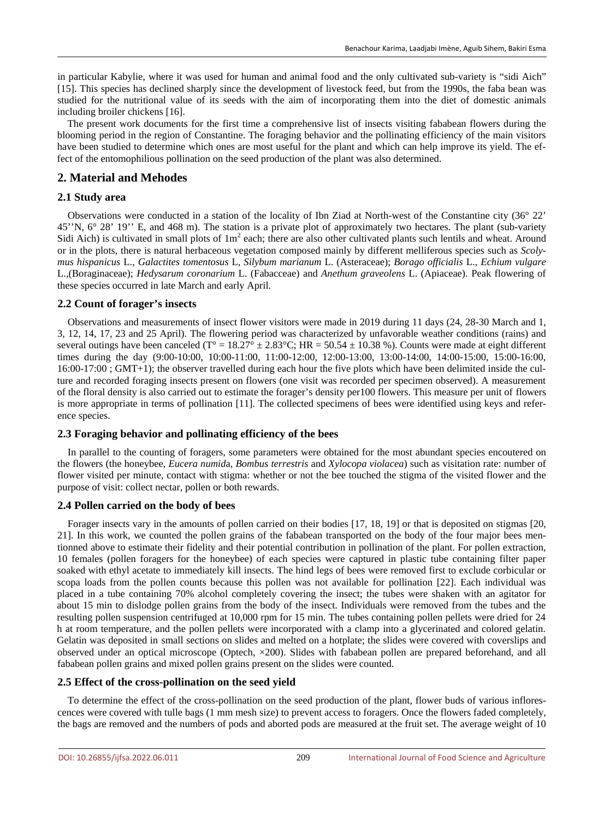in particular Kabylie, where it was used for human and animal food and the only cultivated sub-variety is "sidi Aich" [15]. This species has declined sharply since the development of livestock feed, but from the 1990s, the faba bean was studied for the nutritional value of its seeds with the aim of incorporating them into the diet of domestic animals including broiler chickens [16].

The present work documents for the first time a comprehensive list of insects visiting fababean flowers during the blooming period in the region of Constantine. The foraging behavior and the pollinating efficiency of the main visitors have been studied to determine which ones are most useful for the plant and which can help improve its yield. The effect of the entomophilious pollination on the seed production of the plant was also determined.

## **2. Material and Mehodes**

#### **2.1 Study area**

Observations were conducted in a station of the locality of Ibn Ziad at North-west of the Constantine city (36° 22' 45''N, 6° 28' 19'' E, and 468 m). The station is a private plot of approximately two hectares. The plant (sub-variety Sidi Aich) is cultivated in small plots of  $1m<sup>2</sup>$  each; there are also other cultivated plants such lentils and wheat. Around or in the plots, there is natural herbaceous vegetation composed mainly by different melliferous species such as *Scolymus hispanicus* L., *Galactites tomentosus* L, *Silybum marianum* L. (Asteraceae); *Borago officialis* L., *Echium vulgare* L.,(Boraginaceae); *Hedysarum coronarium* L. (Fabacceae) and *Anethum graveolens* L. (Apiaceae). Peak flowering of these species occurred in late March and early April.

#### **2.2 Count of forager's insects**

Observations and measurements of insect flower visitors were made in 2019 during 11 days (24, 28-30 March and 1, 3, 12, 14, 17, 23 and 25 April). The flowering period was characterized by unfavorable weather conditions (rains) and several outings have been canceled ( $T^{\circ} = 18.27^{\circ} \pm 2.83^{\circ}$ C; HR = 50.54  $\pm$  10.38 %). Counts were made at eight different times during the day (9:00-10:00, 10:00-11:00, 11:00-12:00, 12:00-13:00, 13:00-14:00, 14:00-15:00, 15:00-16:00, 16:00-17:00 ; GMT+1); the observer travelled during each hour the five plots which have been delimited inside the culture and recorded foraging insects present on flowers (one visit was recorded per specimen observed). A measurement of the floral density is also carried out to estimate the forager's density per100 flowers. This measure per unit of flowers is more appropriate in terms of pollination [11]. The collected specimens of bees were identified using keys and reference species.

#### **2.3 Foraging behavior and pollinating efficiency of the bees**

In parallel to the counting of foragers, some parameters were obtained for the most abundant species encoutered on the flowers (the honeybee, *Eucera numid*a, *Bombus terrestris* and *Xylocopa violacea*) such as visitation rate: number of flower visited per minute, contact with stigma: whether or not the bee touched the stigma of the visited flower and the purpose of visit: collect nectar, pollen or both rewards.

#### **2.4 Pollen carried on the body of bees**

Forager insects vary in the amounts of pollen carried on their bodies [17, 18, 19] or that is deposited on stigmas [20, 21]. In this work, we counted the pollen grains of the fababean transported on the body of the four major bees mentionned above to estimate their fidelity and their potential contribution in pollination of the plant. For pollen extraction, 10 females (pollen foragers for the honeybee) of each species were captured in plastic tube containing filter paper soaked with ethyl acetate to immediately kill insects. The hind legs of bees were removed first to exclude corbicular or scopa loads from the pollen counts because this pollen was not available for pollination [22]. Each individual was placed in a tube containing 70% alcohol completely covering the insect; the tubes were shaken with an agitator for about 15 min to dislodge pollen grains from the body of the insect. Individuals were removed from the tubes and the resulting pollen suspension centrifuged at 10,000 rpm for 15 min. The tubes containing pollen pellets were dried for 24 h at room temperature, and the pollen pellets were incorporated with a clamp into a glycerinated and colored gelatin. Gelatin was deposited in small sections on slides and melted on a hotplate; the slides were covered with coverslips and observed under an optical microscope (Optech, ×200). Slides with fababean pollen are prepared beforehand, and all fababean pollen grains and mixed pollen grains present on the slides were counted.

#### **2.5 Effect of the cross-pollination on the seed yield**

To determine the effect of the cross-pollination on the seed production of the plant, flower buds of various inflorescences were covered with tulle bags (1 mm mesh size) to prevent access to foragers. Once the flowers faded completely, the bags are removed and the numbers of pods and aborted pods are measured at the fruit set. The average weight of 10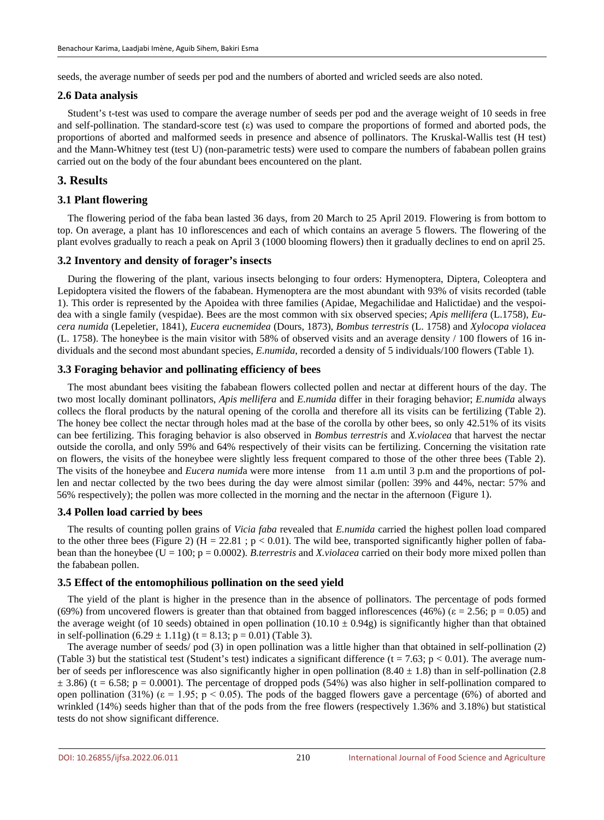seeds, the average number of seeds per pod and the numbers of aborted and wricled seeds are also noted.

#### **2.6 Data analysis**

Student's t-test was used to compare the average number of seeds per pod and the average weight of 10 seeds in free and self-pollination. The standard-score test  $(\varepsilon)$  was used to compare the proportions of formed and aborted pods, the proportions of aborted and malformed seeds in presence and absence of pollinators. The Kruskal-Wallis test (H test) and the Mann-Whitney test (test U) (non-parametric tests) were used to compare the numbers of fababean pollen grains carried out on the body of the four abundant bees encountered on the plant.

### **3. Results**

#### **3.1 Plant flowering**

The flowering period of the faba bean lasted 36 days, from 20 March to 25 April 2019. Flowering is from bottom to top. On average, a plant has 10 inflorescences and each of which contains an average 5 flowers. The flowering of the plant evolves gradually to reach a peak on April 3 (1000 blooming flowers) then it gradually declines to end on april 25.

#### **3.2 Inventory and density of forager's insects**

During the flowering of the plant, various insects belonging to four orders: Hymenoptera, Diptera, Coleoptera and Lepidoptera visited the flowers of the fababean. Hymenoptera are the most abundant with 93% of visits recorded (table 1). This order is represented by the Apoidea with three families (Apidae, Megachilidae and Halictidae) and the vespoidea with a single family (vespidae). Bees are the most common with six observed species; *Apis mellifera* (L.1758), *Eucera numida* (Lepeletier, 1841), *Eucera eucnemidea* (Dours, 1873), *Bombus terrestris* (L. 1758) and *Xylocopa violacea* (L. 1758). The honeybee is the main visitor with 58% of observed visits and an average density / 100 flowers of 16 individuals and the second most abundant species, *E.numida*, recorded a density of 5 individuals/100 flowers (Table 1).

#### **3.3 Foraging behavior and pollinating efficiency of bees**

The most abundant bees visiting the fababean flowers collected pollen and nectar at different hours of the day. The two most locally dominant pollinators, *Apis mellifera* and *E.numida* differ in their foraging behavior; *E.numida* always collecs the floral products by the natural opening of the corolla and therefore all its visits can be fertilizing (Table 2). The honey bee collect the nectar through holes mad at the base of the corolla by other bees, so only 42.51% of its visits can bee fertilizing. This foraging behavior is also observed in *Bombus terrestris* and *X.violacea* that harvest the nectar outside the corolla, and only 59% and 64% respectively of their visits can be fertilizing. Concerning the visitation rate on flowers, the visits of the honeybee were slightly less frequent compared to those of the other three bees (Table 2). The visits of the honeybee and *Eucera numid*a were more intense from 11 a.m until 3 p.m and the proportions of pollen and nectar collected by the two bees during the day were almost similar (pollen: 39% and 44%, nectar: 57% and 56% respectively); the pollen was more collected in the morning and the nectar in the afternoon (Figure 1).

#### **3.4 Pollen load carried by bees**

The results of counting pollen grains of *Vicia faba* revealed that *E.numida* carried the highest pollen load compared to the other three bees (Figure 2) (H = 22.81; p < 0.01). The wild bee, transported significantly higher pollen of fababean than the honeybee (U = 100; p = 0.0002). *B.terrestris* and *X.violacea* carried on their body more mixed pollen than the fababean pollen.

#### **3.5 Effect of the entomophilious pollination on the seed yield**

The yield of the plant is higher in the presence than in the absence of pollinators. The percentage of pods formed (69%) from uncovered flowers is greater than that obtained from bagged inflorescences (46%) ( $\varepsilon = 2.56$ ; p = 0.05) and the average weight (of 10 seeds) obtained in open pollination  $(10.10 \pm 0.94g)$  is significantly higher than that obtained in self-pollination  $(6.29 \pm 1.11g)$   $(t = 8.13; p = 0.01)$  (Table 3).

The average number of seeds/ pod (3) in open pollination was a little higher than that obtained in self-pollination (2) (Table 3) but the statistical test (Student's test) indicates a significant difference (t = 7.63; p < 0.01). The average number of seeds per inflorescence was also significantly higher in open pollination  $(8.40 \pm 1.8)$  than in self-pollination  $(2.8$  $\pm$  3.86) (t = 6.58; p = 0.0001). The percentage of dropped pods (54%) was also higher in self-pollination compared to open pollination (31%) ( $\varepsilon = 1.95$ ; p < 0.05). The pods of the bagged flowers gave a percentage (6%) of aborted and wrinkled (14%) seeds higher than that of the pods from the free flowers (respectively 1.36% and 3.18%) but statistical tests do not show significant difference.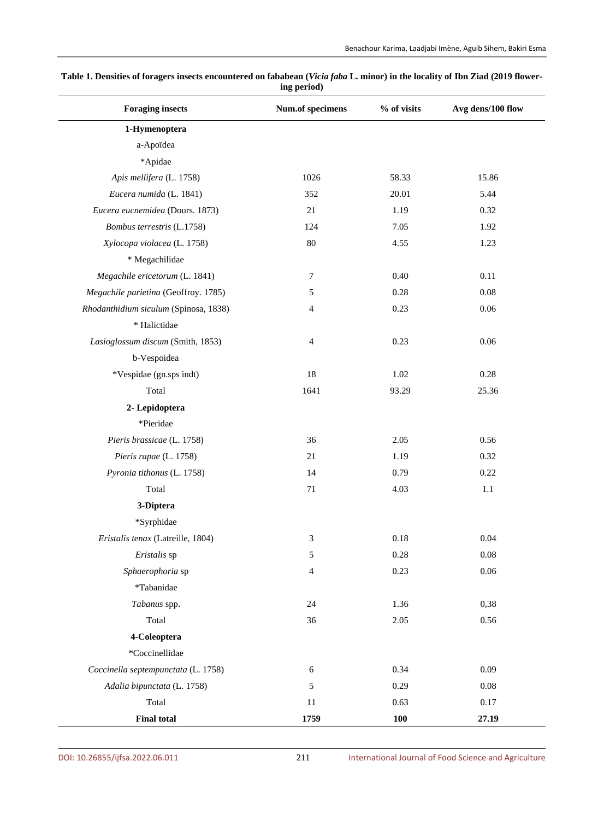| <b>Foraging insects</b>               | Num.of specimens | % of visits | Avg dens/100 flow |
|---------------------------------------|------------------|-------------|-------------------|
| 1-Hymenoptera                         |                  |             |                   |
| a-Apoïdea                             |                  |             |                   |
| *Apidae                               |                  |             |                   |
| Apis mellifera (L. 1758)              | 1026             | 58.33       | 15.86             |
| Eucera numida (L. 1841)               | 352              | 20.01       | 5.44              |
| Eucera eucnemidea (Dours. 1873)       | 21               | 1.19        | 0.32              |
| Bombus terrestris (L.1758)            | 124              | 7.05        | 1.92              |
| Xylocopa violacea (L. 1758)           | $80\,$           | 4.55        | 1.23              |
| * Megachilidae                        |                  |             |                   |
| Megachile ericetorum (L. 1841)        | $\tau$           | 0.40        | 0.11              |
| Megachile parietina (Geoffroy. 1785)  | 5                | 0.28        | 0.08              |
| Rhodanthidium siculum (Spinosa, 1838) | 4                | 0.23        | 0.06              |
| * Halictidae                          |                  |             |                   |
| Lasioglossum discum (Smith, 1853)     | $\overline{4}$   | 0.23        | 0.06              |
| b-Vespoidea                           |                  |             |                   |
| *Vespidae (gn.sps indt)               | 18               | 1.02        | 0.28              |
| Total                                 | 1641             | 93.29       | 25.36             |
| 2- Lepidoptera                        |                  |             |                   |
| *Pieridae                             |                  |             |                   |
| Pieris brassicae (L. 1758)            | 36               | 2.05        | 0.56              |
| Pieris rapae (L. 1758)                | 21               | 1.19        | 0.32              |
| Pyronia tithonus (L. 1758)            | 14               | 0.79        | 0.22              |
| Total                                 | 71               | 4.03        | 1.1               |
| 3-Diptera                             |                  |             |                   |
| *Syrphidae                            |                  |             |                   |
| Eristalis tenax (Latreille, 1804)     | 3                | 0.18        | 0.04              |
| Eristalis sp                          | $\mathfrak s$    | $0.28\,$    | 0.08              |
| Sphaerophoria sp                      | 4                | 0.23        | 0.06              |
| *Tabanidae                            |                  |             |                   |
| Tabanus spp.                          | 24               | 1.36        | 0,38              |
| Total                                 | 36               | 2.05        | 0.56              |
| 4-Coleoptera                          |                  |             |                   |
| *Coccinellidae                        |                  |             |                   |
| Coccinella septempunctata (L. 1758)   | 6                | 0.34        | 0.09              |
| Adalia bipunctata (L. 1758)           | 5                | 0.29        | 0.08              |
| Total                                 | 11               | 0.63        | 0.17              |
| <b>Final total</b>                    | 1759             | <b>100</b>  | 27.19             |

#### **Table 1. Densities of foragers insects encountered on fababean (***Vicia faba* **L. minor) in the locality of Ibn Ziad (2019 flowering period)**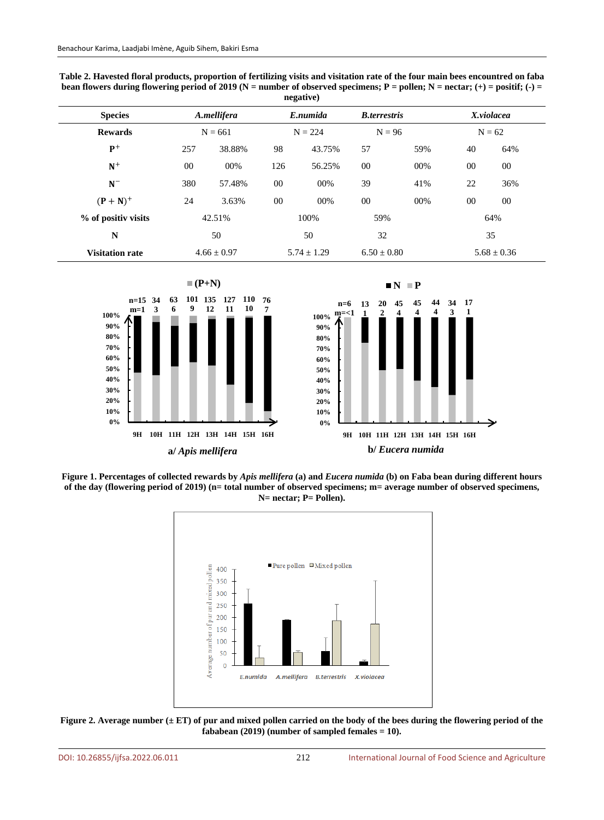| negative)              |                          |                 |                       |        |                                  |     |                        |     |
|------------------------|--------------------------|-----------------|-----------------------|--------|----------------------------------|-----|------------------------|-----|
| <b>Species</b>         | A.mellifera<br>$N = 661$ |                 | E.numida<br>$N = 224$ |        | <b>B</b> .terrestris<br>$N = 96$ |     | X.violacea<br>$N = 62$ |     |
| <b>Rewards</b>         |                          |                 |                       |        |                                  |     |                        |     |
| $P+$                   | 257                      | 38.88%          | 98                    | 43.75% | 57                               | 59% | 40                     | 64% |
| $\mathbf{N}^+$         | 00                       | 00%             | 126                   | 56.25% | 00                               | 00% | $00\,$                 | 00  |
| $N^-$                  | 380                      | 57.48%          | 00                    | 00%    | 39                               | 41% | 22                     | 36% |
| $(P + N)^+$            | 24                       | 3.63%           | 00                    | 00%    | 00                               | 00% | $00\,$                 | 00  |
| % of positiv visits    |                          | 42.51%          | 100%                  |        | 59%                              |     |                        | 64% |
| N                      |                          | 50              | 50                    |        | 32                               |     | 35                     |     |
| <b>Visitation rate</b> |                          | $4.66 \pm 0.97$ | $5.74 + 1.29$         |        | $6.50 + 0.80$                    |     | $5.68 \pm 0.36$        |     |

**Table 2. Havested floral products, proportion of fertilizing visits and visitation rate of the four main bees encountred on faba**  bean flowers during flowering period of 2019 ( $N =$  number of observed specimens;  $P =$  pollen;  $N =$  nectar;  $(+) =$  positif;  $(-) =$ **negative)**



**Figure 1. Percentages of collected rewards by** *Apis mellifera* **(a) and** *Eucera numida* **(b) on Faba bean during different hours of the day (flowering period of 2019) (n= total number of observed specimens; m= average number of observed specimens, N= nectar; P= Pollen).**



Figure 2. Average number ( $\pm$  ET) of pur and mixed pollen carried on the body of the bees during the flowering period of the **fababean (2019) (number of sampled females = 10).**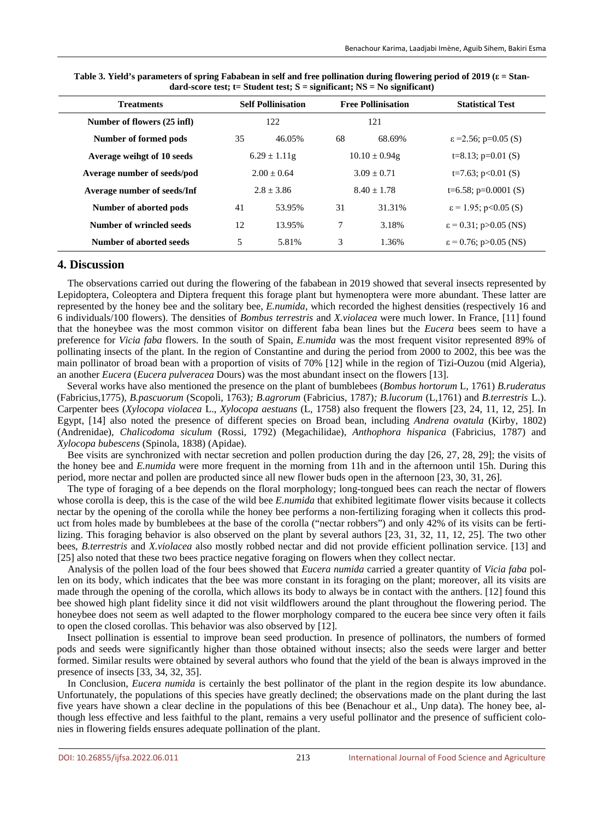| <b>Treatments</b>           |              | <b>Self Pollinisation</b> |               | <b>Free Pollinisation</b> | <b>Statistical Test</b>           |  |
|-----------------------------|--------------|---------------------------|---------------|---------------------------|-----------------------------------|--|
| Number of flowers (25 infl) |              | 122                       |               | 121                       |                                   |  |
| Number of formed pods       | 35           | 46.05%                    | 68            | 68.69%                    | $\varepsilon$ =2.56; p=0.05 (S)   |  |
| Average weihgt of 10 seeds  |              | $6.29 \pm 1.11$ g         |               | $10.10 \pm 0.94g$         | $t=8.13$ ; $p=0.01$ (S)           |  |
| Average number of seeds/pod |              | $2.00 + 0.64$             |               | $3.09 + 0.71$             | t=7.63; $p<0.01$ (S)              |  |
| Average number of seeds/Inf | $2.8 + 3.86$ |                           | $8.40 + 1.78$ |                           | t=6.58; $p=0.0001$ (S)            |  |
| Number of aborted pods      | 41           | 53.95%                    | 31            | 31.31%                    | $\varepsilon$ = 1.95; p<0.05 (S)  |  |
| Number of wrincled seeds    | 12           | 13.95%                    | 7             | 3.18%                     | $\varepsilon$ = 0.31; p>0.05 (NS) |  |
| Number of aborted seeds     | 5            | 5.81%                     | 3             | 1.36%                     | $\varepsilon$ = 0.76; p>0.05 (NS) |  |

**Table 3. Yield's parameters of spring Fababean in self and free pollination during flowering period of 2019 (ε = Standard-score test; t= Student test; S = significant; NS = No significant)**

#### **4. Discussion**

The observations carried out during the flowering of the fababean in 2019 showed that several insects represented by Lepidoptera, Coleoptera and Diptera frequent this forage plant but hymenoptera were more abundant. These latter are represented by the honey bee and the solitary bee, *E.numida*, which recorded the highest densities (respectively 16 and 6 individuals/100 flowers). The densities of *Bombus terrestris* and *X.violacea* were much lower. In France, [11] found that the honeybee was the most common visitor on different faba bean lines but the *Eucera* bees seem to have a preference for *Vicia faba* flowers. In the south of Spain, *E.numida* was the most frequent visitor represented 89% of pollinating insects of the plant. In the region of Constantine and during the period from 2000 to 2002, this bee was the main pollinator of broad bean with a proportion of visits of 70% [12] while in the region of Tizi-Ouzou (mid Algeria), an another *Eucera* (*Eucera pulveracea* Dours) was the most abundant insect on the flowers [13].

Several works have also mentioned the presence on the plant of bumblebees (*Bombus hortorum* L*,* 1761) *B.ruderatus* (Fabricius,1775), *B.pascuorum* (Scopoli, 1763)*; B.agrorum* (Fabricius, 1787)*; B.lucorum* (L,1761) and *B.terrestris* L.). Carpenter bees (*Xylocopa violacea* L., *Xylocopa aestuans* (L, 1758) also frequent the flowers [23, 24, 11, 12, 25]. In Egypt, [14] also noted the presence of different species on Broad bean, including *Andrena ovatula* (Kirby, 1802) (Andrenidae), *Chalicodoma siculum* (Rossi, 1792) (Megachilidae), *Anthophora hispanica* (Fabricius, 1787) and *Xylocopa bubescens* (Spinola, 1838) (Apidae).

Bee visits are synchronized with nectar secretion and pollen production during the day [26, 27, 28, 29]; the visits of the honey bee and *E.numida* were more frequent in the morning from 11h and in the afternoon until 15h. During this period, more nectar and pollen are producted since all new flower buds open in the afternoon [23, 30, 31, 26].

The type of foraging of a bee depends on the floral morphology; long-tongued bees can reach the nectar of flowers whose corolla is deep, this is the case of the wild bee *E.numida* that exhibited legitimate flower visits because it collects nectar by the opening of the corolla while the honey bee performs a non-fertilizing foraging when it collects this product from holes made by bumblebees at the base of the corolla ("nectar robbers") and only 42% of its visits can be fertilizing. This foraging behavior is also observed on the plant by several authors [23, 31, 32, 11, 12, 25]. The two other bees, *B.terrestris* and *X.violacea* also mostly robbed nectar and did not provide efficient pollination service. [13] and [25] also noted that these two bees practice negative foraging on flowers when they collect nectar.

Analysis of the pollen load of the four bees showed that *Eucera numida* carried a greater quantity of *Vicia faba* pollen on its body, which indicates that the bee was more constant in its foraging on the plant; moreover, all its visits are made through the opening of the corolla, which allows its body to always be in contact with the anthers. [12] found this bee showed high plant fidelity since it did not visit wildflowers around the plant throughout the flowering period. The honeybee does not seem as well adapted to the flower morphology compared to the eucera bee since very often it fails to open the closed corollas. This behavior was also observed by [12].

Insect pollination is essential to improve bean seed production. In presence of pollinators, the numbers of formed pods and seeds were significantly higher than those obtained without insects; also the seeds were larger and better formed. Similar results were obtained by several authors who found that the yield of the bean is always improved in the presence of insects [33, 34, 32, 35].

In Conclusion, *Eucera numida* is certainly the best pollinator of the plant in the region despite its low abundance. Unfortunately, the populations of this species have greatly declined; the observations made on the plant during the last five years have shown a clear decline in the populations of this bee (Benachour et al., Unp data). The honey bee, although less effective and less faithful to the plant, remains a very useful pollinator and the presence of sufficient colonies in flowering fields ensures adequate pollination of the plant.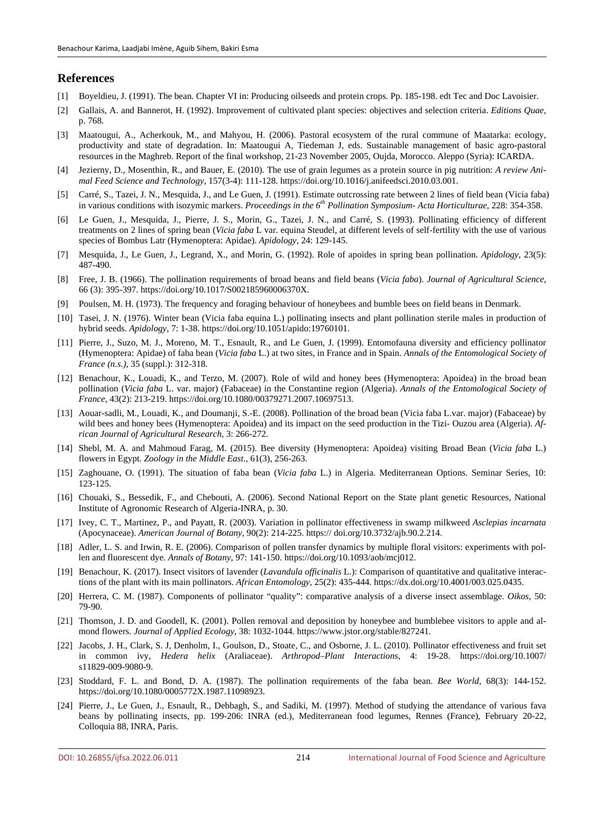#### **References**

- [1] Boyeldieu, J. (1991). The bean. Chapter VI in: Producing oilseeds and protein crops. Pp. 185-198. edt Tec and Doc Lavoisier.
- [2] Gallais, A. and Bannerot, H. (1992). Improvement of cultivated plant species: objectives and selection criteria. *Editions Quae*, p. 768.
- [3] Maatougui, A., Acherkouk, M., and Mahyou, H. (2006). Pastoral ecosystem of the rural commune of Maatarka: ecology, productivity and state of degradation. In: Maatougui A, Tiedeman J, eds. Sustainable management of basic agro-pastoral resources in the Maghreb. Report of the final workshop, 21-23 November 2005, Oujda, Morocco. Aleppo (Syria): ICARDA.
- [4] Jezierny, D., Mosenthin, R., and Bauer, E. (2010). The use of grain legumes as a protein source in pig nutrition: *A review Animal Feed Science and Technology*, 157(3-4): 111-128. https://doi.org/10.1016/j.anifeedsci.2010.03.001.
- [5] Carré, S., Tazei, J. N., Mesquida, J., and Le Guen, J. (1991). Estimate outcrossing rate between 2 lines of field bean (Vicia faba) in various conditions with isozymic markers. *Proceedings in the 6th Pollination Symposium- Acta Horticulturae*, 228: 354-358.
- [6] Le Guen, J., Mesquida, J., Pierre, J. S., Morin, G., Tazei, J. N., and Carré, S. (1993). Pollinating efficiency of different treatments on 2 lines of spring bean (*Vicia faba* L var. equina Steudel, at different levels of self-fertility with the use of various species of Bombus Latr (Hymenoptera: Apidae). *Apidology*, 24: 129-145.
- [7] Mesquida, J., Le Guen, J., Legrand, X., and Morin, G. (1992). Role of apoides in spring bean pollination. *Apidology*, 23(5): 487-490.
- [8] Free, J. B. (1966). The pollination requirements of broad beans and field beans (*Vicia faba*). *Journal of Agricultural Science*, 66 (3): 395-397. https://doi.org/10.1017/S002185960006370X.
- [9] Poulsen, M. H. (1973). The frequency and foraging behaviour of honeybees and bumble bees on field beans in Denmark.
- [10] Tasei, J. N. (1976). Winter bean (Vicia faba equina L.) pollinating insects and plant pollination sterile males in production of hybrid seeds. *Apidology*, 7: 1-38. https://doi.org/10.1051/apido:19760101.
- [11] Pierre, J., Suzo, M. J., Moreno, M. T., Esnault, R., and Le Guen, J. (1999). Entomofauna diversity and efficiency pollinator (Hymenoptera: Apidae) of faba bean (*Vicia faba* L.) at two sites, in France and in Spain. *Annals of the Entomological Society of France (n.s.)*, 35 (suppl.): 312-318.
- [12] Benachour, K., Louadi, K., and Terzo, M. (2007). Role of wild and honey bees (Hymenoptera: Apoidea) in the broad bean pollination (*Vicia faba* L. var. major) (Fabaceae) in the Constantine region (Algeria). *Annals of the Entomological Society of France*, 43(2): 213-219. https://doi.org/10.1080/00379271.2007.10697513.
- [13] Aouar-sadli, M., Louadi, K., and Doumanji, S.-E. (2008). Pollination of the broad bean (Vicia faba L.var. major) (Fabaceae) by wild bees and honey bees (Hymenoptera: Apoidea) and its impact on the seed production in the Tizi- Ouzou area (Algeria). *African Journal of Agricultural Research*, 3: 266-272.
- [14] Shebl, M. A. and Mahmoud Farag, M. (2015). Bee diversity (Hymenoptera: Apoidea) visiting Broad Bean (*Vicia faba* L.) flowers in Egypt. *Zoology in the Middle East.*, 61(3), 256-263.
- [15] Zaghouane, O. (1991). The situation of faba bean (*Vicia faba* L.) in Algeria. Mediterranean Options. Seminar Series, 10: 123-125.
- [16] Chouaki, S., Bessedik, F., and Chebouti, A. (2006). Second National Report on the State plant genetic Resources, National Institute of Agronomic Research of Algeria-INRA, p. 30.
- [17] Ivey, C. T., Martinez, P., and Payatt, R. (2003). Variation in pollinator effectiveness in swamp milkweed *Asclepias incarnata* (Apocynaceae). *American Journal of Botany*, 90(2): 214-225. https:// doi.org/10.3732/ajb.90.2.214.
- [18] Adler, L. S. and Irwin, R. E. (2006). Comparison of pollen transfer dynamics by multiple floral visitors: experiments with pollen and fluorescent dye. *Annals of Botany*, 97: 141-150. https://doi.org/10.1093/aob/mcj012.
- [19] Benachour, K. (2017). Insect visitors of lavender (*Lavandula officinalis* L.): Comparison of quantitative and qualitative interactions of the plant with its main pollinators. *African Entomology*, 25(2): 435-444. https://dx.doi.org/10.4001/003.025.0435.
- [20] Herrera, C. M. (1987). Components of pollinator "quality": comparative analysis of a diverse insect assemblage. *Oikos*, 50: 79-90.
- [21] Thomson, J. D. and Goodell, K. (2001). Pollen removal and deposition by honeybee and bumblebee visitors to apple and almond flowers. *Journal of Applied Ecology*, 38: 1032-1044. https://www.jstor.org/stable/827241.
- [22] Jacobs, J. H., Clark, S. J, Denholm, I., Goulson, D., Stoate, C., and Osborne, J. L. (2010). Pollinator effectiveness and fruit set in common ivy, *Hedera helix* (Araliaceae). *Arthropod–Plant Interactions*, 4: 19-28. https://doi.org/10.1007/ s11829-009-9080-9.
- [23] Stoddard, F. L. and Bond, D. A. (1987). The pollination requirements of the faba bean. *Bee World*, 68(3): 144-152. https://doi.org/10.1080/0005772X.1987.11098923.
- [24] Pierre, J., Le Guen, J., Esnault, R., Debbagh, S., and Sadiki, M. (1997). Method of studying the attendance of various fava beans by pollinating insects, pp. 199-206: INRA (ed.), Mediterranean food legumes, Rennes (France), February 20-22, Colloquia 88, INRA, Paris.